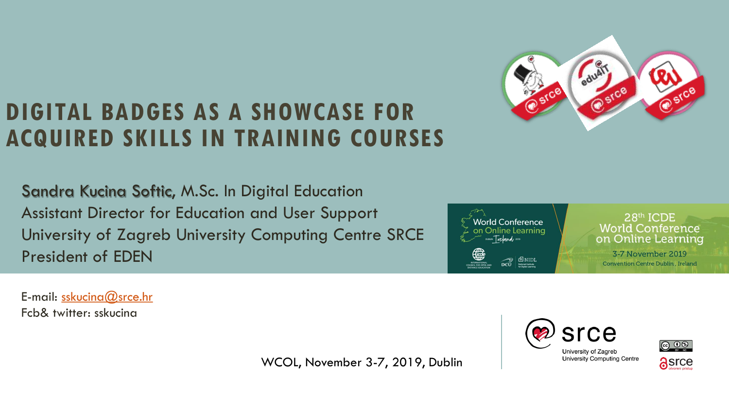

#### **DIGITAL BADGES AS A SHOWCASE FOR ACQUIRED SKILLS IN TRAINING COURSES**

Sandra Kucina Softic, M.Sc. In Digital Education Assistant Director for Education and User Support University of Zagreb University Computing Centre SRCE President of EDEN



28th ICDE **World Conference** on Online Learning

3-7 November 2019 **Convention Centre Dublin, Ireland** 

E-mail: [sskucina@srce.hr](mailto:sskucina@srce.hr) Fcb& twitter: sskucina

WCOL, November 3-7, 2019, Dublin



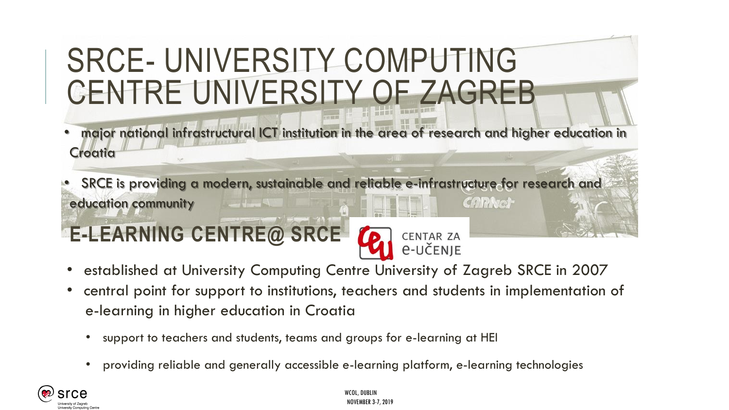## SRCE- UNIVERSITY COMPUTING CENTRE UNIVERSITY OF ZAGREB

- major national infrastructural ICT institution in the area of research and higher education in **Croatia**
- SRCE is providing a modern, sustainable and reliable e-infrastructure for research and **CARNet** education community

## **E-LEARNING CENTRE@ SRCE**



- established at University Computing Centre University of Zagreb SRCE in 2007
- central point for support to institutions, teachers and students in implementation of e-learning in higher education in Croatia
	- support to teachers and students, teams and groups for e-learning at HEI
	- providing reliable and generally accessible e-learning platform, e-learning technologies

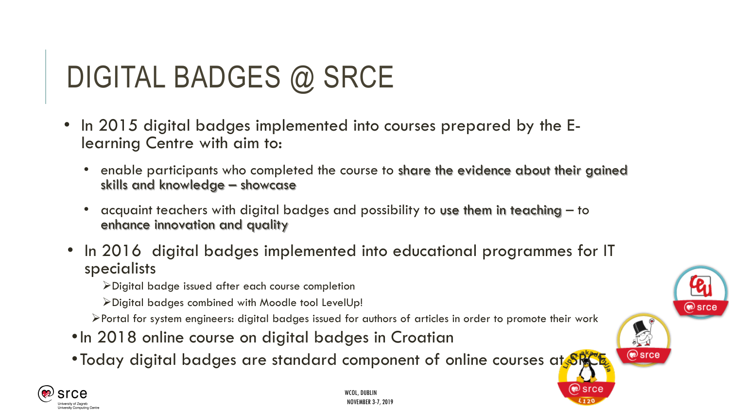# DIGITAL BADGES @ SRCE

- In 2015 digital badges implemented into courses prepared by the Elearning Centre with aim to:
	- enable participants who completed the course to share the evidence about their gained skills and knowledge – showcase
	- acquaint teachers with digital badges and possibility to use them in teaching to enhance innovation and quality
- In 2016 digital badges implemented into educational programmes for IT specialists
	- Digital badge issued after each course completion
	- Digital badges combined with Moodle tool LevelUp!
	- Portal for system engineers: digital badges issued for authors of articles in order to promote their work
- •In 2018 online course on digital badges in Croatian
- Today digital badges are standard component of online courses at SRCE.



@ srce

ne≫ Srce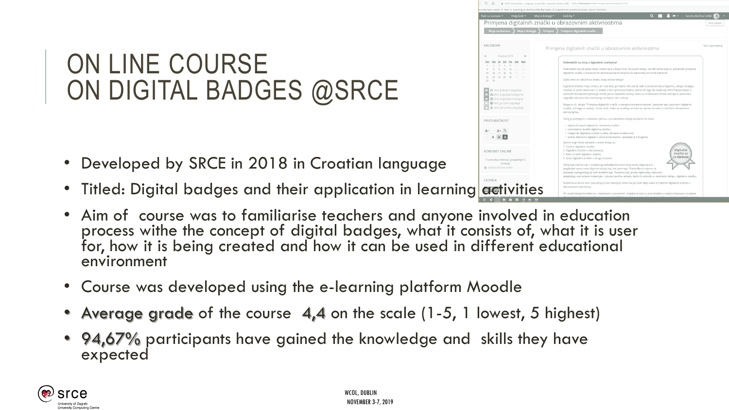### ON LINE COURSE ON DIGITAL BADGES @SRCE

- Developed by SRCE in 2018 in Croatian language
- Titled: Digital badges and their application in learning activities
- Aim of course was to familiarise teachers and anyone involved in education process withe the concept of digital badges, what it consists of, what it is user for, how it is being created and how it can be used in different educational environment
- Course was developed using the e-learning platform Moodle
- Average grade of the course 4,4 on the scale (1-5, 1 lowest, 5 highest)
- 94,67% participants have gained the knowledge and skills they have expected



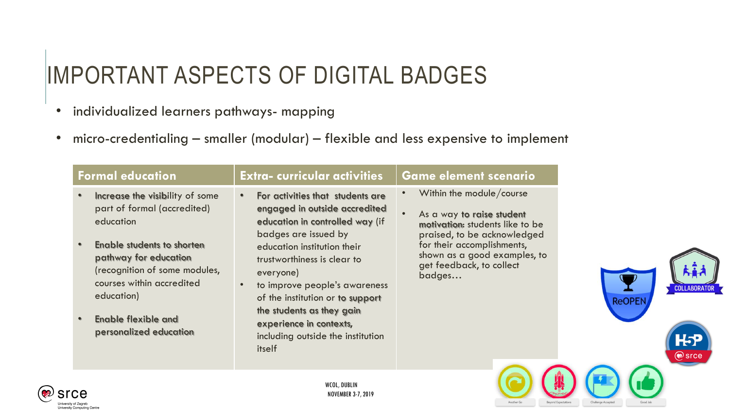## IMPORTANT ASPECTS OF DIGITAL BADGES

- individualized learners pathways- mapping
- micro-credentialing smaller (modular) flexible and less expensive to implement

| <b>Formal education</b>                                                                                                         | <b>Extra-curricular activities</b>                                                                                                           | <b>Game element scenario</b>                                                                                            |               |  |
|---------------------------------------------------------------------------------------------------------------------------------|----------------------------------------------------------------------------------------------------------------------------------------------|-------------------------------------------------------------------------------------------------------------------------|---------------|--|
| Increase the visibility of some<br>$\bullet$<br>part of formal (accredited)<br>education                                        | For activities that students are<br>$\bullet$<br>engaged in outside accredited<br>education in controlled way (if<br>badges are issued by    | Within the module/course<br>As a way to raise student<br>motivation: students like to be<br>praised, to be acknowledged |               |  |
| Enable students to shorten<br>pathway for education<br>(recognition of some modules,<br>courses within accredited<br>education) | education institution their<br>trustworthiness is clear to<br>everyone)<br>to improve people's awareness<br>of the institution or to support | for their accomplishments,<br>shown as a good examples, to<br>get feedback, to collect<br>badges                        | <b>ReOPEN</b> |  |
| <b>Enable flexible and</b><br>personalized education                                                                            | the students as they gain<br>experience in contexts,<br>including outside the institution<br>itself                                          |                                                                                                                         |               |  |
|                                                                                                                                 | WCOL, DUBLIN                                                                                                                                 |                                                                                                                         |               |  |

Challenge Accepted

Good Job

Beyond Expectations

Another Go



NOVEMBER 3-7, 2019